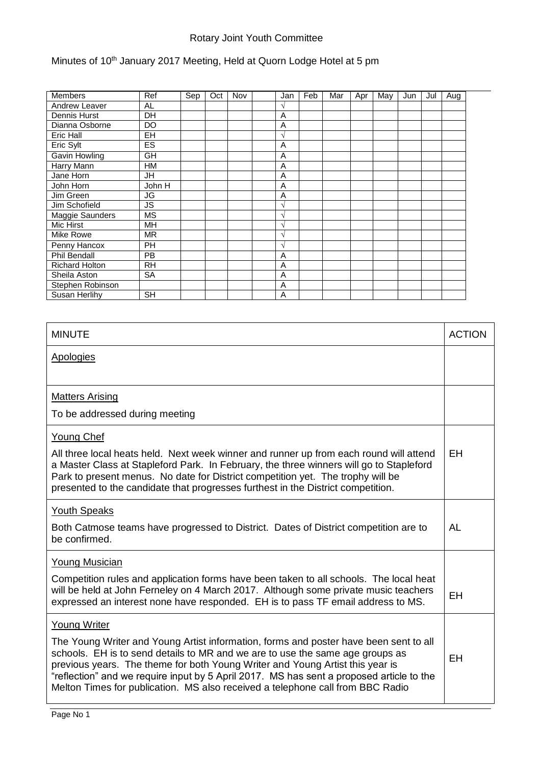## Rotary Joint Youth Committee

## Minutes of 10<sup>th</sup> January 2017 Meeting, Held at Quorn Lodge Hotel at 5 pm

| <b>Members</b>        | Ref       | Sep | Oct | Nov | Jan           | Feb | Mar | Apr | May | Jun | Jul | Aug |  |
|-----------------------|-----------|-----|-----|-----|---------------|-----|-----|-----|-----|-----|-----|-----|--|
| Andrew Leaver         | AL        |     |     |     | $\mathcal{N}$ |     |     |     |     |     |     |     |  |
| Dennis Hurst          | DH        |     |     |     | A             |     |     |     |     |     |     |     |  |
| Dianna Osborne        | <b>DO</b> |     |     |     | A             |     |     |     |     |     |     |     |  |
| Eric Hall             | <b>EH</b> |     |     |     | V             |     |     |     |     |     |     |     |  |
| Eric Sylt             | ES        |     |     |     | A             |     |     |     |     |     |     |     |  |
| Gavin Howling         | <b>GH</b> |     |     |     | A             |     |     |     |     |     |     |     |  |
| Harry Mann            | <b>HM</b> |     |     |     | A             |     |     |     |     |     |     |     |  |
| Jane Horn             | JH        |     |     |     | A             |     |     |     |     |     |     |     |  |
| John Horn             | John H    |     |     |     | A             |     |     |     |     |     |     |     |  |
| Jim Green             | JG        |     |     |     | A             |     |     |     |     |     |     |     |  |
| Jim Schofield         | JS        |     |     |     | $\sqrt{ }$    |     |     |     |     |     |     |     |  |
| Maggie Saunders       | <b>MS</b> |     |     |     | $\mathcal{N}$ |     |     |     |     |     |     |     |  |
| Mic Hirst             | MH        |     |     |     | $\mathcal{N}$ |     |     |     |     |     |     |     |  |
| Mike Rowe             | <b>MR</b> |     |     |     | $\sqrt{ }$    |     |     |     |     |     |     |     |  |
| Penny Hancox          | <b>PH</b> |     |     |     | V             |     |     |     |     |     |     |     |  |
| <b>Phil Bendall</b>   | <b>PB</b> |     |     |     | A             |     |     |     |     |     |     |     |  |
| <b>Richard Holton</b> | <b>RH</b> |     |     |     | A             |     |     |     |     |     |     |     |  |
| Sheila Aston          | SA        |     |     |     | A             |     |     |     |     |     |     |     |  |
| Stephen Robinson      |           |     |     |     | A             |     |     |     |     |     |     |     |  |
| Susan Herlihy         | <b>SH</b> |     |     |     | A             |     |     |     |     |     |     |     |  |

| <b>MINUTE</b>                                                                                                                                                                                                                                                                                                                                                                                                                         | <b>ACTION</b> |
|---------------------------------------------------------------------------------------------------------------------------------------------------------------------------------------------------------------------------------------------------------------------------------------------------------------------------------------------------------------------------------------------------------------------------------------|---------------|
| <b>Apologies</b>                                                                                                                                                                                                                                                                                                                                                                                                                      |               |
|                                                                                                                                                                                                                                                                                                                                                                                                                                       |               |
| <b>Matters Arising</b>                                                                                                                                                                                                                                                                                                                                                                                                                |               |
| To be addressed during meeting                                                                                                                                                                                                                                                                                                                                                                                                        |               |
| <b>Young Chef</b>                                                                                                                                                                                                                                                                                                                                                                                                                     |               |
| All three local heats held. Next week winner and runner up from each round will attend<br>a Master Class at Stapleford Park. In February, the three winners will go to Stapleford<br>Park to present menus. No date for District competition yet. The trophy will be<br>presented to the candidate that progresses furthest in the District competition.                                                                              | EH            |
| <b>Youth Speaks</b>                                                                                                                                                                                                                                                                                                                                                                                                                   |               |
| Both Catmose teams have progressed to District. Dates of District competition are to<br>be confirmed.                                                                                                                                                                                                                                                                                                                                 | AL            |
| <b>Young Musician</b>                                                                                                                                                                                                                                                                                                                                                                                                                 |               |
| Competition rules and application forms have been taken to all schools. The local heat<br>will be held at John Ferneley on 4 March 2017. Although some private music teachers<br>expressed an interest none have responded. EH is to pass TF email address to MS.                                                                                                                                                                     | EH            |
| <b>Young Writer</b>                                                                                                                                                                                                                                                                                                                                                                                                                   |               |
| The Young Writer and Young Artist information, forms and poster have been sent to all<br>schools. EH is to send details to MR and we are to use the same age groups as<br>previous years. The theme for both Young Writer and Young Artist this year is<br>"reflection" and we require input by 5 April 2017. MS has sent a proposed article to the<br>Melton Times for publication. MS also received a telephone call from BBC Radio | EH            |